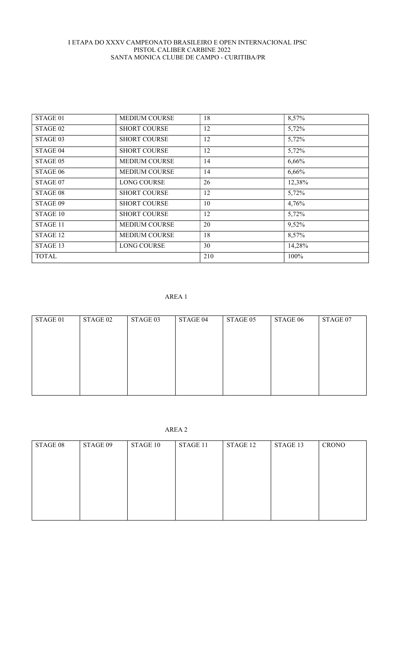| STAGE 01            | <b>MEDIUM COURSE</b> | 18  | 8,57%  |
|---------------------|----------------------|-----|--------|
| STAGE <sub>02</sub> | <b>SHORT COURSE</b>  | 12  | 5,72%  |
| STAGE 03            | <b>SHORT COURSE</b>  | 12  | 5,72%  |
| STAGE 04            | <b>SHORT COURSE</b>  | 12  | 5,72%  |
| STAGE 05            | <b>MEDIUM COURSE</b> | 14  | 6,66%  |
| STAGE 06            | <b>MEDIUM COURSE</b> | 14  | 6,66%  |
| STAGE 07            | <b>LONG COURSE</b>   | 26  | 12,38% |
| STAGE 08            | <b>SHORT COURSE</b>  | 12  | 5,72%  |
| STAGE 09            | <b>SHORT COURSE</b>  | 10  | 4,76%  |
| STAGE 10            | <b>SHORT COURSE</b>  | 12  | 5,72%  |
| STAGE 11            | <b>MEDIUM COURSE</b> | 20  | 9,52%  |
| STAGE 12            | <b>MEDIUM COURSE</b> | 18  | 8,57%  |
| STAGE 13            | <b>LONG COURSE</b>   | 30  | 14,28% |
| <b>TOTAL</b>        |                      | 210 | 100%   |

## AREA 1

| STAGE 01 | STAGE 02 | STAGE 03 | STAGE 04 | STAGE 05 | STAGE 06 | STAGE 07 |
|----------|----------|----------|----------|----------|----------|----------|
|          |          |          |          |          |          |          |
|          |          |          |          |          |          |          |
|          |          |          |          |          |          |          |
|          |          |          |          |          |          |          |
|          |          |          |          |          |          |          |
|          |          |          |          |          |          |          |
|          |          |          |          |          |          |          |
|          |          |          |          |          |          |          |
|          |          |          |          |          |          |          |

# AREA 2

| STAGE 08 | STAGE 09 | STAGE 10 | STAGE 11 | STAGE 12 | STAGE 13 | <b>CRONO</b> |
|----------|----------|----------|----------|----------|----------|--------------|
|          |          |          |          |          |          |              |
|          |          |          |          |          |          |              |
|          |          |          |          |          |          |              |
|          |          |          |          |          |          |              |
|          |          |          |          |          |          |              |
|          |          |          |          |          |          |              |
|          |          |          |          |          |          |              |
|          |          |          |          |          |          |              |
|          |          |          |          |          |          |              |
|          |          |          |          |          |          |              |
|          |          |          |          |          |          |              |
|          |          |          |          |          |          |              |
|          |          |          |          |          |          |              |
|          |          |          |          |          |          |              |
|          |          |          |          |          |          |              |
|          |          |          |          |          |          |              |
|          |          |          |          |          |          |              |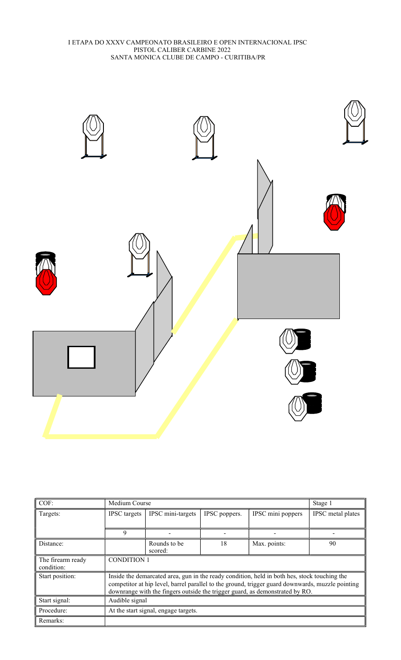

| COF:              | Medium Course<br>Stage 1             |                          |               |                                                                                                  |                   |
|-------------------|--------------------------------------|--------------------------|---------------|--------------------------------------------------------------------------------------------------|-------------------|
| Targets:          | <b>IPSC</b> targets                  | IPSC mini-targets        | IPSC poppers. | IPSC mini poppers                                                                                | IPSC metal plates |
|                   |                                      |                          |               |                                                                                                  |                   |
|                   | 9                                    | $\overline{\phantom{a}}$ |               | $\,$                                                                                             |                   |
| Distance:         |                                      | Rounds to be             | 18            | Max. points:                                                                                     | 90                |
|                   |                                      | scored:                  |               |                                                                                                  |                   |
| The firearm ready | <b>CONDITION 1</b>                   |                          |               |                                                                                                  |                   |
| condition:        |                                      |                          |               |                                                                                                  |                   |
| Start position:   |                                      |                          |               | Inside the demarcated area, gun in the ready condition, held in both hes, stock touching the     |                   |
|                   |                                      |                          |               | competitor at hip level, barrel parallel to the ground, trigger guard downwards, muzzle pointing |                   |
|                   |                                      |                          |               | downrange with the fingers outside the trigger guard, as demonstrated by RO.                     |                   |
| Start signal:     | Audible signal                       |                          |               |                                                                                                  |                   |
| Procedure:        | At the start signal, engage targets. |                          |               |                                                                                                  |                   |
| Remarks:          |                                      |                          |               |                                                                                                  |                   |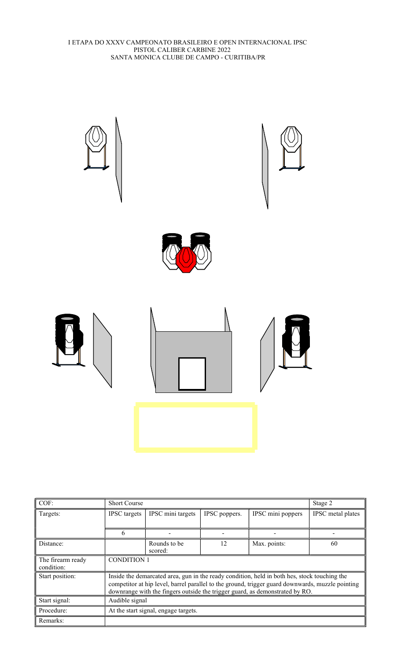

| COF:                            | <b>Short Course</b>                                                                                                                                                                                                                                                              |                         |               |                   | Stage 2           |  |  |
|---------------------------------|----------------------------------------------------------------------------------------------------------------------------------------------------------------------------------------------------------------------------------------------------------------------------------|-------------------------|---------------|-------------------|-------------------|--|--|
| Targets:                        | <b>IPSC</b> targets                                                                                                                                                                                                                                                              | IPSC mini targets       | IPSC poppers. | IPSC mini poppers | IPSC metal plates |  |  |
|                                 |                                                                                                                                                                                                                                                                                  |                         |               |                   |                   |  |  |
|                                 |                                                                                                                                                                                                                                                                                  |                         |               |                   |                   |  |  |
| Distance:                       |                                                                                                                                                                                                                                                                                  | Rounds to be<br>scored: | 12            | Max. points:      | 60                |  |  |
| The firearm ready<br>condition: | <b>CONDITION 1</b>                                                                                                                                                                                                                                                               |                         |               |                   |                   |  |  |
| Start position:                 | Inside the demarcated area, gun in the ready condition, held in both hes, stock touching the<br>competitor at hip level, barrel parallel to the ground, trigger guard downwards, muzzle pointing<br>downrange with the fingers outside the trigger guard, as demonstrated by RO. |                         |               |                   |                   |  |  |
| Start signal:                   | Audible signal                                                                                                                                                                                                                                                                   |                         |               |                   |                   |  |  |
| Procedure:                      | At the start signal, engage targets.                                                                                                                                                                                                                                             |                         |               |                   |                   |  |  |
| Remarks:                        |                                                                                                                                                                                                                                                                                  |                         |               |                   |                   |  |  |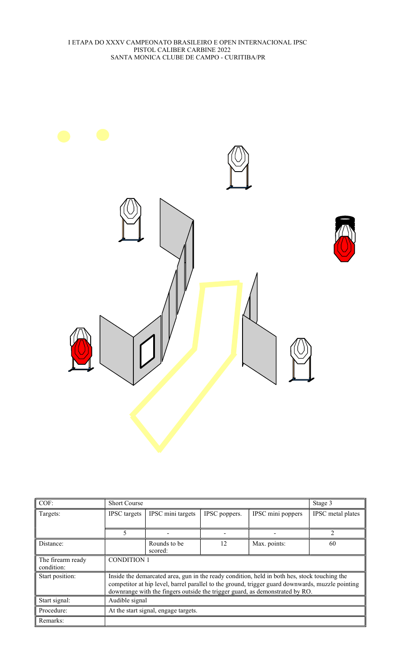

| COF:                            | <b>Short Course</b>                  |                                                                                                                                                                                                                                                                                  |               |                   | Stage 3           |  |  |
|---------------------------------|--------------------------------------|----------------------------------------------------------------------------------------------------------------------------------------------------------------------------------------------------------------------------------------------------------------------------------|---------------|-------------------|-------------------|--|--|
| Targets:                        | <b>IPSC</b> targets                  | IPSC mini targets                                                                                                                                                                                                                                                                | IPSC poppers. | IPSC mini poppers | IPSC metal plates |  |  |
|                                 | 5                                    |                                                                                                                                                                                                                                                                                  |               |                   | 2                 |  |  |
| Distance:                       |                                      | Rounds to be<br>scored:                                                                                                                                                                                                                                                          | 12            | Max. points:      | 60                |  |  |
| The firearm ready<br>condition: | <b>CONDITION 1</b>                   |                                                                                                                                                                                                                                                                                  |               |                   |                   |  |  |
| Start position:                 |                                      | Inside the demarcated area, gun in the ready condition, held in both hes, stock touching the<br>competitor at hip level, barrel parallel to the ground, trigger guard downwards, muzzle pointing<br>downrange with the fingers outside the trigger guard, as demonstrated by RO. |               |                   |                   |  |  |
| Start signal:                   | Audible signal                       |                                                                                                                                                                                                                                                                                  |               |                   |                   |  |  |
| Procedure:                      | At the start signal, engage targets. |                                                                                                                                                                                                                                                                                  |               |                   |                   |  |  |
| Remarks:                        |                                      |                                                                                                                                                                                                                                                                                  |               |                   |                   |  |  |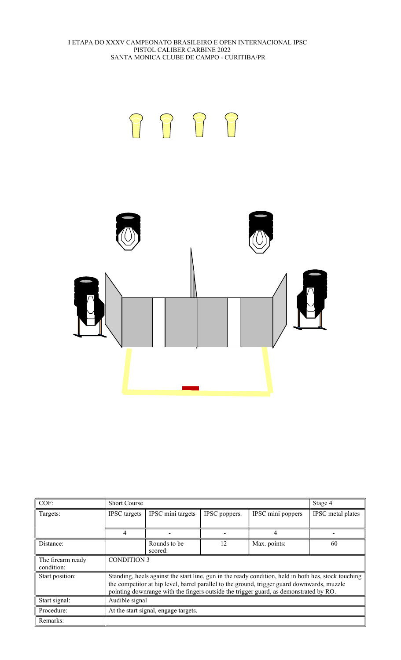

| COF:              | <b>Short Course</b>                  |                   |               |                                                                                                      | Stage 4           |
|-------------------|--------------------------------------|-------------------|---------------|------------------------------------------------------------------------------------------------------|-------------------|
| Targets:          | <b>IPSC</b> targets                  | IPSC mini targets | IPSC poppers. | IPSC mini poppers                                                                                    | IPSC metal plates |
|                   |                                      |                   |               |                                                                                                      |                   |
|                   | 4                                    |                   |               |                                                                                                      |                   |
| Distance:         |                                      | Rounds to be      | 12            | Max. points:                                                                                         | 60                |
|                   |                                      | scored:           |               |                                                                                                      |                   |
| The firearm ready | <b>CONDITION 3</b>                   |                   |               |                                                                                                      |                   |
| condition:        |                                      |                   |               |                                                                                                      |                   |
| Start position:   |                                      |                   |               | Standing, heels against the start line, gun in the ready condition, held in both hes, stock touching |                   |
|                   |                                      |                   |               | the competitor at hip level, barrel parallel to the ground, trigger guard downwards, muzzle          |                   |
|                   |                                      |                   |               | pointing downrange with the fingers outside the trigger guard, as demonstrated by RO.                |                   |
| Start signal:     | Audible signal                       |                   |               |                                                                                                      |                   |
| Procedure:        | At the start signal, engage targets. |                   |               |                                                                                                      |                   |
| Remarks:          |                                      |                   |               |                                                                                                      |                   |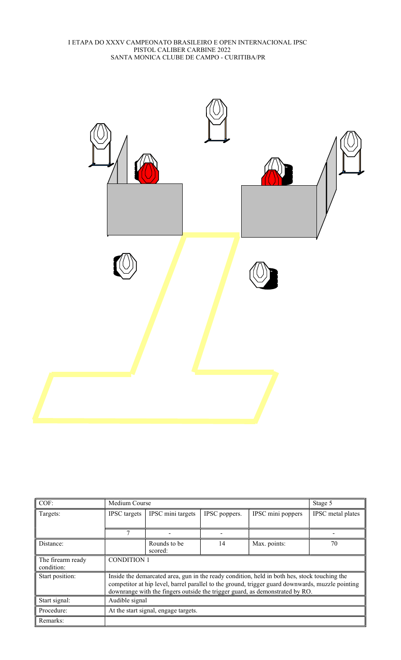

| COF:                            |                     | Medium Course                                                                                                                                                                                                                                                                    |               |                   |                   |  |  |
|---------------------------------|---------------------|----------------------------------------------------------------------------------------------------------------------------------------------------------------------------------------------------------------------------------------------------------------------------------|---------------|-------------------|-------------------|--|--|
| Targets:                        | <b>IPSC</b> targets | IPSC mini targets                                                                                                                                                                                                                                                                | IPSC poppers. | IPSC mini poppers | IPSC metal plates |  |  |
|                                 |                     |                                                                                                                                                                                                                                                                                  |               |                   |                   |  |  |
|                                 |                     |                                                                                                                                                                                                                                                                                  |               |                   |                   |  |  |
| Distance:                       |                     | Rounds to be<br>scored:                                                                                                                                                                                                                                                          | 14            | Max. points:      | 70                |  |  |
| The firearm ready<br>condition: | <b>CONDITION 1</b>  |                                                                                                                                                                                                                                                                                  |               |                   |                   |  |  |
| Start position:                 |                     | Inside the demarcated area, gun in the ready condition, held in both hes, stock touching the<br>competitor at hip level, barrel parallel to the ground, trigger guard downwards, muzzle pointing<br>downrange with the fingers outside the trigger guard, as demonstrated by RO. |               |                   |                   |  |  |
| Start signal:                   | Audible signal      |                                                                                                                                                                                                                                                                                  |               |                   |                   |  |  |
| Procedure:                      |                     | At the start signal, engage targets.                                                                                                                                                                                                                                             |               |                   |                   |  |  |
| Remarks:                        |                     |                                                                                                                                                                                                                                                                                  |               |                   |                   |  |  |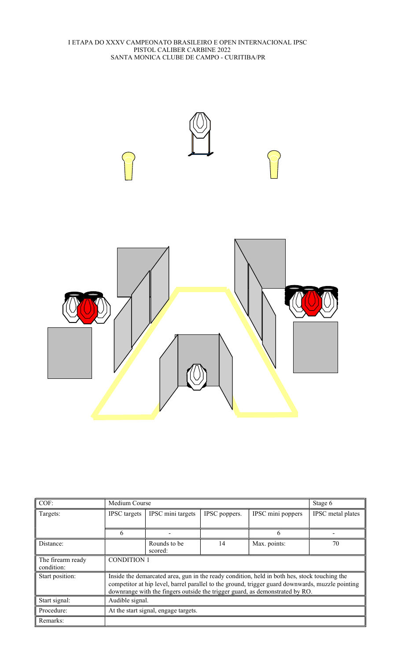

| $COF$ :                         | Medium Course                        | Stage 6                                                                                                                                                                                                                                                                          |               |                   |                   |  |  |
|---------------------------------|--------------------------------------|----------------------------------------------------------------------------------------------------------------------------------------------------------------------------------------------------------------------------------------------------------------------------------|---------------|-------------------|-------------------|--|--|
| Targets:                        | <b>IPSC</b> targets                  | IPSC mini targets                                                                                                                                                                                                                                                                | IPSC poppers. | IPSC mini poppers | IPSC metal plates |  |  |
|                                 |                                      |                                                                                                                                                                                                                                                                                  |               |                   |                   |  |  |
|                                 | h                                    | $\overline{\phantom{0}}$                                                                                                                                                                                                                                                         |               | 6                 |                   |  |  |
| Distance:                       |                                      | Rounds to be<br>scored:                                                                                                                                                                                                                                                          | 14            | Max. points:      | 70                |  |  |
| The firearm ready<br>condition: | <b>CONDITION 1</b>                   |                                                                                                                                                                                                                                                                                  |               |                   |                   |  |  |
| Start position:                 |                                      | Inside the demarcated area, gun in the ready condition, held in both hes, stock touching the<br>competitor at hip level, barrel parallel to the ground, trigger guard downwards, muzzle pointing<br>downrange with the fingers outside the trigger guard, as demonstrated by RO. |               |                   |                   |  |  |
| Start signal:                   | Audible signal.                      |                                                                                                                                                                                                                                                                                  |               |                   |                   |  |  |
| Procedure:                      | At the start signal, engage targets. |                                                                                                                                                                                                                                                                                  |               |                   |                   |  |  |
| Remarks:                        |                                      |                                                                                                                                                                                                                                                                                  |               |                   |                   |  |  |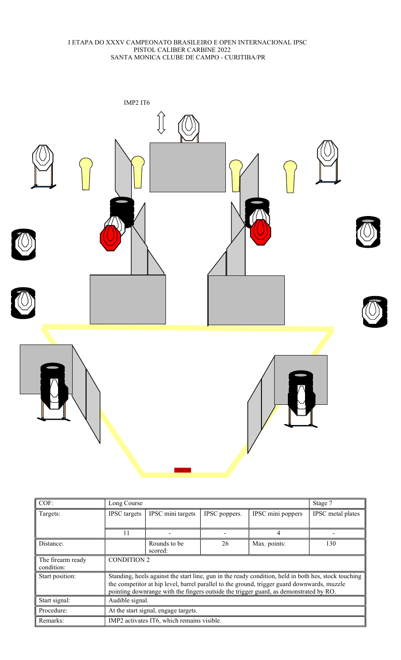

| COF:              | Long Course                                                                           |                                            |               |                                                                                                      | Stage 7           |  |
|-------------------|---------------------------------------------------------------------------------------|--------------------------------------------|---------------|------------------------------------------------------------------------------------------------------|-------------------|--|
| Targets:          | <b>IPSC</b> targets                                                                   | IPSC mini targets                          | IPSC poppers. | IPSC mini poppers                                                                                    | IPSC metal plates |  |
|                   |                                                                                       |                                            |               |                                                                                                      |                   |  |
|                   | 11                                                                                    |                                            |               | 4                                                                                                    |                   |  |
| Distance:         |                                                                                       | Rounds to be                               | 26            | Max. points:                                                                                         | 130               |  |
|                   |                                                                                       | scored:                                    |               |                                                                                                      |                   |  |
| The firearm ready | <b>CONDITION 2</b>                                                                    |                                            |               |                                                                                                      |                   |  |
| condition:        |                                                                                       |                                            |               |                                                                                                      |                   |  |
| Start position:   |                                                                                       |                                            |               | Standing, heels against the start line, gun in the ready condition, held in both hes, stock touching |                   |  |
|                   |                                                                                       |                                            |               | the competitor at hip level, barrel parallel to the ground, trigger guard downwards, muzzle          |                   |  |
|                   | pointing downrange with the fingers outside the trigger guard, as demonstrated by RO. |                                            |               |                                                                                                      |                   |  |
| Start signal:     | Audible signal.                                                                       |                                            |               |                                                                                                      |                   |  |
| Procedure:        | At the start signal, engage targets.                                                  |                                            |               |                                                                                                      |                   |  |
| Remarks:          |                                                                                       | IMP2 activates IT6, which remains visible. |               |                                                                                                      |                   |  |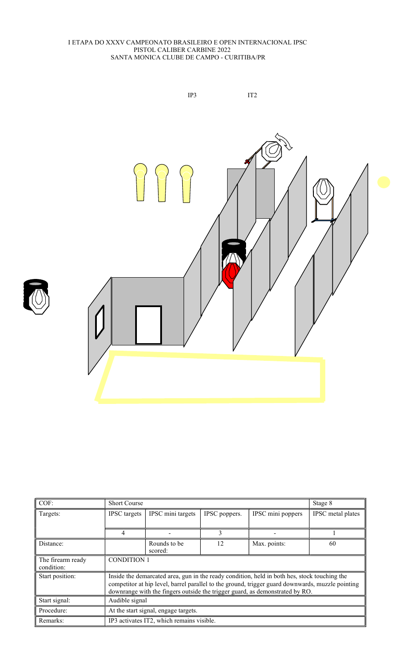

| COF:                            | <b>Short Course</b>                  |                                                                                                                                                                                                                                                                                  |               |                   |                   |  |  |
|---------------------------------|--------------------------------------|----------------------------------------------------------------------------------------------------------------------------------------------------------------------------------------------------------------------------------------------------------------------------------|---------------|-------------------|-------------------|--|--|
| Targets:                        | <b>IPSC</b> targets                  | IPSC mini targets                                                                                                                                                                                                                                                                | IPSC poppers. | IPSC mini poppers | IPSC metal plates |  |  |
|                                 | 4                                    |                                                                                                                                                                                                                                                                                  | 3             |                   |                   |  |  |
| Distance:                       |                                      | Rounds to be<br>scored:                                                                                                                                                                                                                                                          | 12            | Max. points:      | 60                |  |  |
| The firearm ready<br>condition: | <b>CONDITION 1</b>                   |                                                                                                                                                                                                                                                                                  |               |                   |                   |  |  |
| Start position:                 |                                      | Inside the demarcated area, gun in the ready condition, held in both hes, stock touching the<br>competitor at hip level, barrel parallel to the ground, trigger guard downwards, muzzle pointing<br>downrange with the fingers outside the trigger guard, as demonstrated by RO. |               |                   |                   |  |  |
| Start signal:                   | Audible signal                       |                                                                                                                                                                                                                                                                                  |               |                   |                   |  |  |
| Procedure:                      | At the start signal, engage targets. |                                                                                                                                                                                                                                                                                  |               |                   |                   |  |  |
| Remarks:                        |                                      | IP3 activates IT2, which remains visible.                                                                                                                                                                                                                                        |               |                   |                   |  |  |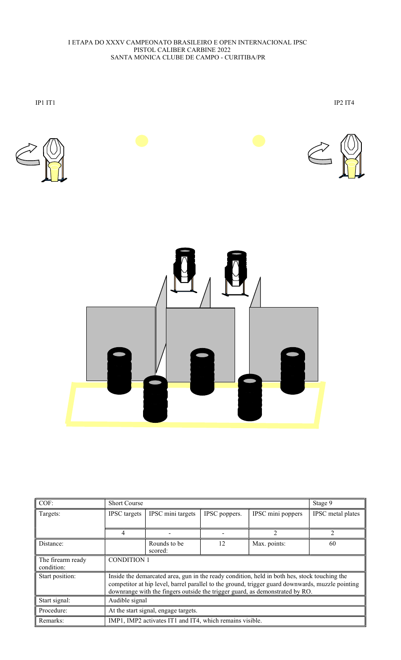

| COF:                            | <b>Short Course</b>                                                                                                                                                                                                                                                              |                         |               |                   | Stage 9           |  |
|---------------------------------|----------------------------------------------------------------------------------------------------------------------------------------------------------------------------------------------------------------------------------------------------------------------------------|-------------------------|---------------|-------------------|-------------------|--|
| Targets:                        | <b>IPSC</b> targets                                                                                                                                                                                                                                                              | IPSC mini targets       | IPSC poppers. | IPSC mini poppers | IPSC metal plates |  |
|                                 |                                                                                                                                                                                                                                                                                  |                         |               |                   |                   |  |
|                                 |                                                                                                                                                                                                                                                                                  |                         |               | $\mathcal{D}$     |                   |  |
| Distance:                       |                                                                                                                                                                                                                                                                                  | Rounds to be<br>scored: | 12            | Max. points:      | 60                |  |
| The firearm ready<br>condition: | <b>CONDITION 1</b>                                                                                                                                                                                                                                                               |                         |               |                   |                   |  |
| Start position:                 | Inside the demarcated area, gun in the ready condition, held in both hes, stock touching the<br>competitor at hip level, barrel parallel to the ground, trigger guard downwards, muzzle pointing<br>downrange with the fingers outside the trigger guard, as demonstrated by RO. |                         |               |                   |                   |  |
| Start signal:                   | Audible signal                                                                                                                                                                                                                                                                   |                         |               |                   |                   |  |
| Procedure:                      | At the start signal, engage targets.                                                                                                                                                                                                                                             |                         |               |                   |                   |  |
| Remarks:                        | IMP1, IMP2 activates IT1 and IT4, which remains visible.                                                                                                                                                                                                                         |                         |               |                   |                   |  |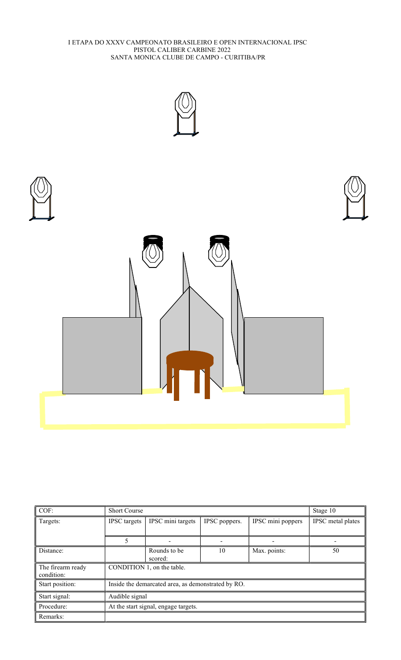

| COF:                            | <b>Short Course</b>                                |                         |               |                   | Stage 10          |  |
|---------------------------------|----------------------------------------------------|-------------------------|---------------|-------------------|-------------------|--|
| Targets:                        | <b>IPSC</b> targets                                | IPSC mini targets       | IPSC poppers. | IPSC mini poppers | IPSC metal plates |  |
|                                 |                                                    |                         |               |                   |                   |  |
|                                 | 5                                                  |                         |               |                   |                   |  |
| Distance:                       |                                                    | Rounds to be<br>scored: | 10            | Max. points:      | 50                |  |
| The firearm ready<br>condition: | CONDITION 1, on the table.                         |                         |               |                   |                   |  |
| Start position:                 | Inside the demarcated area, as demonstrated by RO. |                         |               |                   |                   |  |
| Start signal:                   | Audible signal                                     |                         |               |                   |                   |  |
| Procedure:                      | At the start signal, engage targets.               |                         |               |                   |                   |  |
| Remarks:                        |                                                    |                         |               |                   |                   |  |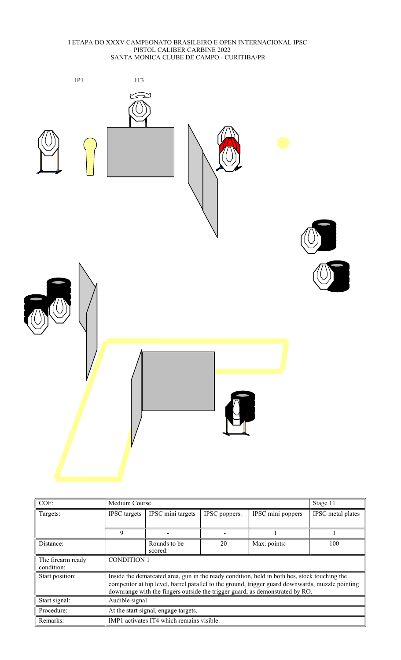

| COF:              | Medium Course                                                                                    |                   |               |                   | Stage 11          |  |
|-------------------|--------------------------------------------------------------------------------------------------|-------------------|---------------|-------------------|-------------------|--|
| Targets:          | <b>IPSC</b> targets                                                                              | IPSC mini targets | IPSC poppers. | IPSC mini poppers | IPSC metal plates |  |
|                   |                                                                                                  |                   |               |                   |                   |  |
|                   | 9                                                                                                |                   |               |                   |                   |  |
| Distance:         |                                                                                                  | Rounds to be      | 20            | Max. points:      | 100               |  |
|                   |                                                                                                  | scored:           |               |                   |                   |  |
| The firearm ready | <b>CONDITION 1</b>                                                                               |                   |               |                   |                   |  |
| condition:        |                                                                                                  |                   |               |                   |                   |  |
| Start position:   | Inside the demarcated area, gun in the ready condition, held in both hes, stock touching the     |                   |               |                   |                   |  |
|                   | competitor at hip level, barrel parallel to the ground, trigger guard downwards, muzzle pointing |                   |               |                   |                   |  |
|                   | downrange with the fingers outside the trigger guard, as demonstrated by RO.                     |                   |               |                   |                   |  |
| Start signal:     | Audible signal                                                                                   |                   |               |                   |                   |  |
| Procedure:        | At the start signal, engage targets.                                                             |                   |               |                   |                   |  |
| Remarks:          | IMP1 activates IT4 which remains visible.                                                        |                   |               |                   |                   |  |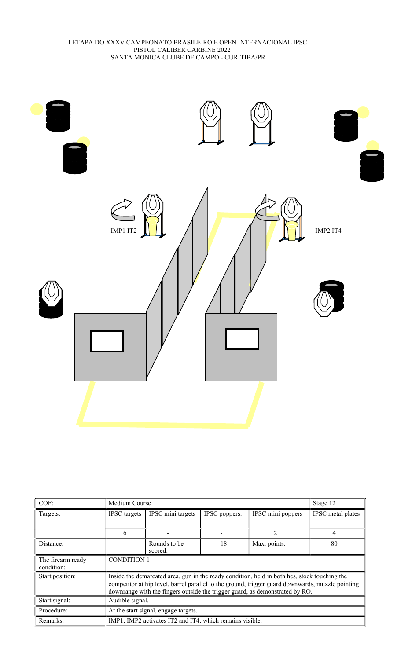

| COF:                            | Medium Course                                                                                                                                                                                                                                                                    |                         |               |                   | Stage 12          |  |
|---------------------------------|----------------------------------------------------------------------------------------------------------------------------------------------------------------------------------------------------------------------------------------------------------------------------------|-------------------------|---------------|-------------------|-------------------|--|
| Targets:                        | <b>IPSC</b> targets                                                                                                                                                                                                                                                              | IPSC mini targets       | IPSC poppers. | IPSC mini poppers | IPSC metal plates |  |
|                                 |                                                                                                                                                                                                                                                                                  |                         |               |                   |                   |  |
|                                 | 6                                                                                                                                                                                                                                                                                |                         |               | $\mathfrak{D}$    | 4                 |  |
| Distance:                       |                                                                                                                                                                                                                                                                                  | Rounds to be<br>scored: | 18            | Max. points:      | 80                |  |
| The firearm ready<br>condition: | <b>CONDITION 1</b>                                                                                                                                                                                                                                                               |                         |               |                   |                   |  |
| Start position:                 | Inside the demarcated area, gun in the ready condition, held in both hes, stock touching the<br>competitor at hip level, barrel parallel to the ground, trigger guard downwards, muzzle pointing<br>downrange with the fingers outside the trigger guard, as demonstrated by RO. |                         |               |                   |                   |  |
| Start signal:                   | Audible signal.                                                                                                                                                                                                                                                                  |                         |               |                   |                   |  |
| Procedure:                      | At the start signal, engage targets.                                                                                                                                                                                                                                             |                         |               |                   |                   |  |
| Remarks:                        | IMP1, IMP2 activates IT2 and IT4, which remains visible.                                                                                                                                                                                                                         |                         |               |                   |                   |  |